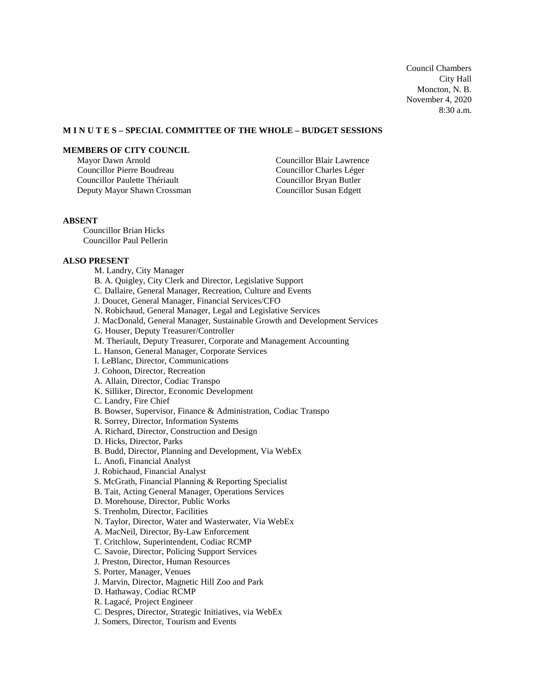Council Chambers City Hall Moncton, N. B. November 4, 2020 8:30 a.m.

## **M I N U T E S – SPECIAL COMMITTEE OF THE WHOLE – BUDGET SESSIONS**

### **MEMBERS OF CITY COUNCIL**

Mayor Dawn Arnold Councillor Pierre Boudreau Councillor Paulette Thériault Deputy Mayor Shawn Crossman Councillor Blair Lawrence Councillor Charles Léger Councillor Bryan Butler Councillor Susan Edgett

### **ABSENT**

Councillor Brian Hicks Councillor Paul Pellerin

#### **ALSO PRESENT**

M. Landry, City Manager B. A. Quigley, City Clerk and Director, Legislative Support C. Dallaire, General Manager, Recreation, Culture and Events J. Doucet, General Manager, Financial Services/CFO N. Robichaud, General Manager, Legal and Legislative Services J. MacDonald, General Manager, Sustainable Growth and Development Services G. Houser, Deputy Treasurer/Controller M. Theriault, Deputy Treasurer, Corporate and Management Accounting L. Hanson, General Manager, Corporate Services I. LeBlanc, Director, Communications J. Cohoon, Director, Recreation A. Allain, Director, Codiac Transpo K. Silliker, Director, Economic Development C. Landry, Fire Chief B. Bowser, Supervisor, Finance & Administration, Codiac Transpo R. Sorrey, Director, Information Systems A. Richard, Director, Construction and Design D. Hicks, Director, Parks B. Budd, Director, Planning and Development, Via WebEx L. Anofi, Financial Analyst J. Robichaud, Financial Analyst S. McGrath, Financial Planning & Reporting Specialist B. Tait, Acting General Manager, Operations Services D. Morehouse, Director, Public Works S. Trenholm, Director, Facilities N. Taylor, Director, Water and Wasterwater, Via WebEx A. MacNeil, Director, By-Law Enforcement T. Critchlow, Superintendent, Codiac RCMP C. Savoie, Director, Policing Support Services J. Preston, Director, Human Resources S. Porter, Manager, Venues J. Marvin, Director, Magnetic Hill Zoo and Park D. Hathaway, Codiac RCMP R. Lagacé, Project Engineer C. Despres, Director, Strategic Initiatives, via WebEx J. Somers, Director, Tourism and Events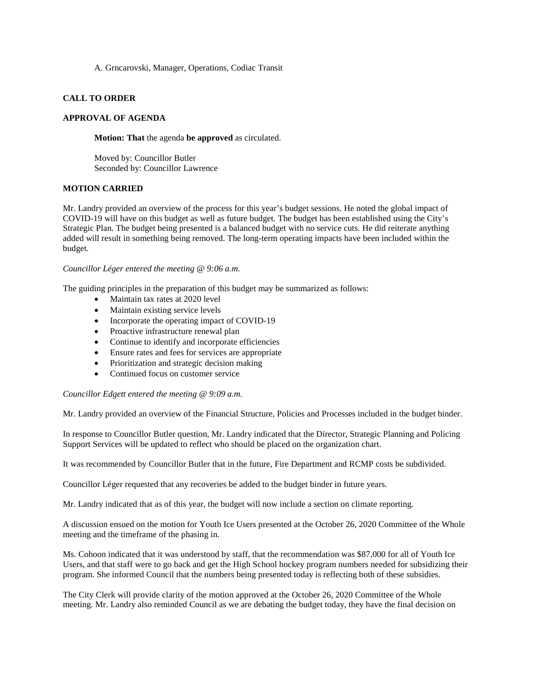A. Grncarovski, Manager, Operations, Codiac Transit

### **CALL TO ORDER**

#### **APPROVAL OF AGENDA**

**Motion: That** the agenda **be approved** as circulated.

Moved by: Councillor Butler Seconded by: Councillor Lawrence

#### **MOTION CARRIED**

Mr. Landry provided an overview of the process for this year's budget sessions. He noted the global impact of COVID-19 will have on this budget as well as future budget. The budget has been established using the City's Strategic Plan. The budget being presented is a balanced budget with no service cuts. He did reiterate anything added will result in something being removed. The long-term operating impacts have been included within the budget.

#### *Councillor Léger entered the meeting @ 9:06 a.m.*

The guiding principles in the preparation of this budget may be summarized as follows:

- Maintain tax rates at 2020 level
- Maintain existing service levels
- Incorporate the operating impact of COVID-19
- Proactive infrastructure renewal plan
- Continue to identify and incorporate efficiencies
- Ensure rates and fees for services are appropriate
- Prioritization and strategic decision making
- Continued focus on customer service

*Councillor Edgett entered the meeting @ 9:09 a.m.*

Mr. Landry provided an overview of the Financial Structure, Policies and Processes included in the budget binder.

In response to Councillor Butler question, Mr. Landry indicated that the Director, Strategic Planning and Policing Support Services will be updated to reflect who should be placed on the organization chart.

It was recommended by Councillor Butler that in the future, Fire Department and RCMP costs be subdivided.

Councillor Léger requested that any recoveries be added to the budget binder in future years.

Mr. Landry indicated that as of this year, the budget will now include a section on climate reporting.

A discussion ensued on the motion for Youth Ice Users presented at the October 26, 2020 Committee of the Whole meeting and the timeframe of the phasing in.

Ms. Cohoon indicated that it was understood by staff, that the recommendation was \$87,000 for all of Youth Ice Users, and that staff were to go back and get the High School hockey program numbers needed for subsidizing their program. She informed Council that the numbers being presented today is reflecting both of these subsidies.

The City Clerk will provide clarity of the motion approved at the October 26, 2020 Committee of the Whole meeting. Mr. Landry also reminded Council as we are debating the budget today, they have the final decision on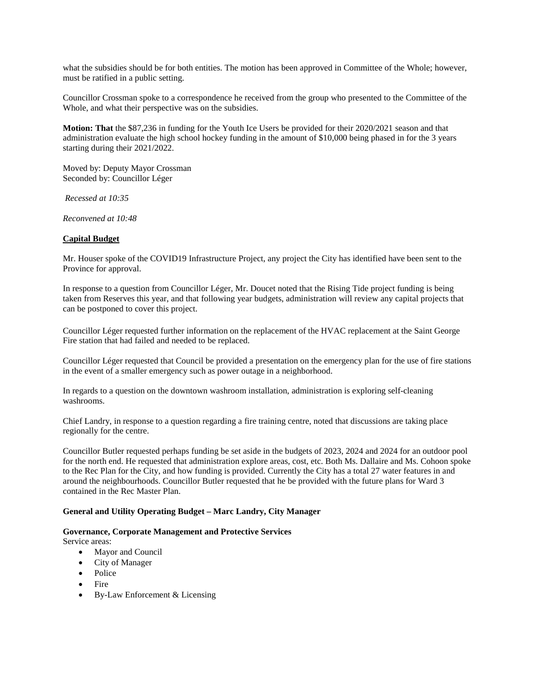what the subsidies should be for both entities. The motion has been approved in Committee of the Whole; however, must be ratified in a public setting.

Councillor Crossman spoke to a correspondence he received from the group who presented to the Committee of the Whole, and what their perspective was on the subsidies.

**Motion: That** the \$87,236 in funding for the Youth Ice Users be provided for their 2020/2021 season and that administration evaluate the high school hockey funding in the amount of \$10,000 being phased in for the 3 years starting during their 2021/2022.

Moved by: Deputy Mayor Crossman Seconded by: Councillor Léger

*Recessed at 10:35*

*Reconvened at 10:48*

### **Capital Budget**

Mr. Houser spoke of the COVID19 Infrastructure Project, any project the City has identified have been sent to the Province for approval.

In response to a question from Councillor Léger, Mr. Doucet noted that the Rising Tide project funding is being taken from Reserves this year, and that following year budgets, administration will review any capital projects that can be postponed to cover this project.

Councillor Léger requested further information on the replacement of the HVAC replacement at the Saint George Fire station that had failed and needed to be replaced.

Councillor Léger requested that Council be provided a presentation on the emergency plan for the use of fire stations in the event of a smaller emergency such as power outage in a neighborhood.

In regards to a question on the downtown washroom installation, administration is exploring self-cleaning washrooms.

Chief Landry, in response to a question regarding a fire training centre, noted that discussions are taking place regionally for the centre.

Councillor Butler requested perhaps funding be set aside in the budgets of 2023, 2024 and 2024 for an outdoor pool for the north end. He requested that administration explore areas, cost, etc. Both Ms. Dallaire and Ms. Cohoon spoke to the Rec Plan for the City, and how funding is provided. Currently the City has a total 27 water features in and around the neighbourhoods. Councillor Butler requested that he be provided with the future plans for Ward 3 contained in the Rec Master Plan.

#### **General and Utility Operating Budget – Marc Landry, City Manager**

# **Governance, Corporate Management and Protective Services**

Service areas:

- Mayor and Council
- City of Manager
- Police
- Fire
- By-Law Enforcement & Licensing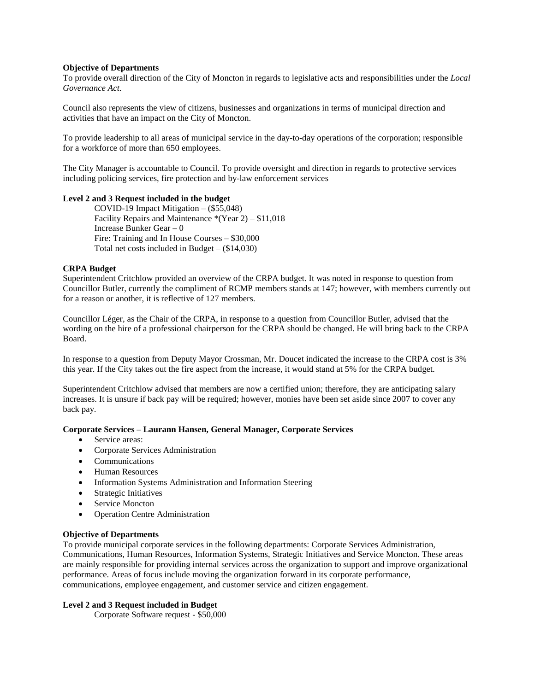#### **Objective of Departments**

To provide overall direction of the City of Moncton in regards to legislative acts and responsibilities under the *Local Governance Act*.

Council also represents the view of citizens, businesses and organizations in terms of municipal direction and activities that have an impact on the City of Moncton.

To provide leadership to all areas of municipal service in the day-to-day operations of the corporation; responsible for a workforce of more than 650 employees.

The City Manager is accountable to Council. To provide oversight and direction in regards to protective services including policing services, fire protection and by-law enforcement services

#### **Level 2 and 3 Request included in the budget**

COVID-19 Impact Mitigation – (\$55,048) Facility Repairs and Maintenance \*(Year 2) – \$11,018 Increase Bunker Gear – 0 Fire: Training and In House Courses – \$30,000 Total net costs included in Budget – (\$14,030)

### **CRPA Budget**

Superintendent Critchlow provided an overview of the CRPA budget. It was noted in response to question from Councillor Butler, currently the compliment of RCMP members stands at 147; however, with members currently out for a reason or another, it is reflective of 127 members.

Councillor Léger, as the Chair of the CRPA, in response to a question from Councillor Butler, advised that the wording on the hire of a professional chairperson for the CRPA should be changed. He will bring back to the CRPA Board.

In response to a question from Deputy Mayor Crossman, Mr. Doucet indicated the increase to the CRPA cost is 3% this year. If the City takes out the fire aspect from the increase, it would stand at 5% for the CRPA budget.

Superintendent Critchlow advised that members are now a certified union; therefore, they are anticipating salary increases. It is unsure if back pay will be required; however, monies have been set aside since 2007 to cover any back pay.

#### **Corporate Services – Laurann Hansen, General Manager, Corporate Services**

- Service areas:
- Corporate Services Administration
- Communications
- Human Resources
- Information Systems Administration and Information Steering
- Strategic Initiatives
- Service Moncton
- Operation Centre Administration

#### **Objective of Departments**

To provide municipal corporate services in the following departments: Corporate Services Administration, Communications, Human Resources, Information Systems, Strategic Initiatives and Service Moncton. These areas are mainly responsible for providing internal services across the organization to support and improve organizational performance. Areas of focus include moving the organization forward in its corporate performance, communications, employee engagement, and customer service and citizen engagement.

#### **Level 2 and 3 Request included in Budget**

Corporate Software request - \$50,000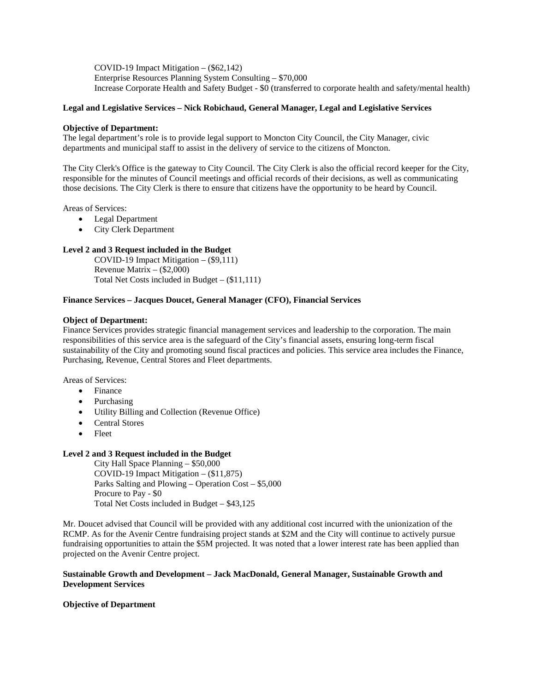COVID-19 Impact Mitigation – (\$62,142) Enterprise Resources Planning System Consulting – \$70,000 Increase Corporate Health and Safety Budget - \$0 (transferred to corporate health and safety/mental health)

#### **Legal and Legislative Services – Nick Robichaud, General Manager, Legal and Legislative Services**

#### **Objective of Department:**

The legal department's role is to provide legal support to Moncton City Council, the City Manager, civic departments and municipal staff to assist in the delivery of service to the citizens of Moncton.

The City Clerk's Office is the gateway to City Council. The City Clerk is also the official record keeper for the City, responsible for the minutes of Council meetings and official records of their decisions, as well as communicating those decisions. The City Clerk is there to ensure that citizens have the opportunity to be heard by Council.

Areas of Services:

- Legal Department
- City Clerk Department

## **Level 2 and 3 Request included in the Budget**

COVID-19 Impact Mitigation – (\$9,111) Revenue Matrix  $-$  (\$2,000) Total Net Costs included in Budget – (\$11,111)

#### **Finance Services – Jacques Doucet, General Manager (CFO), Financial Services**

#### **Object of Department:**

Finance Services provides strategic financial management services and leadership to the corporation. The main responsibilities of this service area is the safeguard of the City's financial assets, ensuring long-term fiscal sustainability of the City and promoting sound fiscal practices and policies. This service area includes the Finance, Purchasing, Revenue, Central Stores and Fleet departments.

Areas of Services:

- Finance
- Purchasing
- Utility Billing and Collection (Revenue Office)
- Central Stores
- Fleet

#### **Level 2 and 3 Request included in the Budget**

City Hall Space Planning – \$50,000 COVID-19 Impact Mitigation – (\$11,875) Parks Salting and Plowing – Operation Cost – \$5,000 Procure to Pay - \$0 Total Net Costs included in Budget – \$43,125

Mr. Doucet advised that Council will be provided with any additional cost incurred with the unionization of the RCMP. As for the Avenir Centre fundraising project stands at \$2M and the City will continue to actively pursue fundraising opportunities to attain the \$5M projected. It was noted that a lower interest rate has been applied than projected on the Avenir Centre project.

### **Sustainable Growth and Development – Jack MacDonald, General Manager, Sustainable Growth and Development Services**

#### **Objective of Department**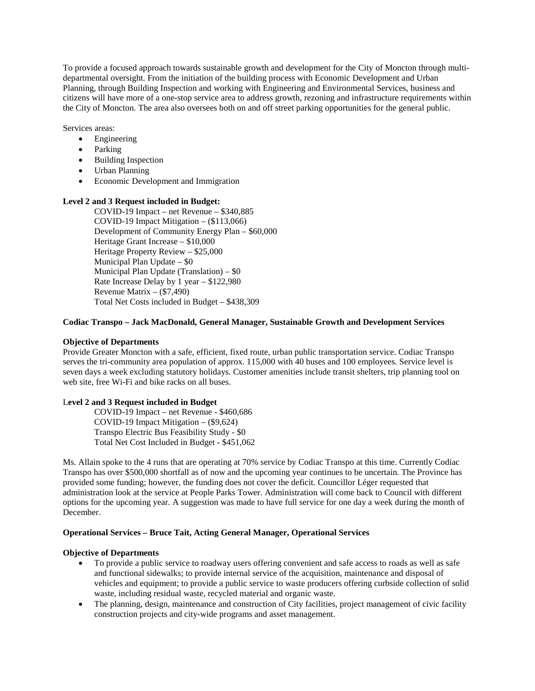To provide a focused approach towards sustainable growth and development for the City of Moncton through multidepartmental oversight. From the initiation of the building process with Economic Development and Urban Planning, through Building Inspection and working with Engineering and Environmental Services, business and citizens will have more of a one-stop service area to address growth, rezoning and infrastructure requirements within the City of Moncton. The area also oversees both on and off street parking opportunities for the general public.

Services areas:

- Engineering
- Parking
- Building Inspection
- Urban Planning
- Economic Development and Immigration

#### **Level 2 and 3 Request included in Budget:**

COVID-19 Impact – net Revenue – \$340,885 COVID-19 Impact Mitigation – (\$113,066) Development of Community Energy Plan – \$60,000 Heritage Grant Increase – \$10,000 Heritage Property Review – \$25,000 Municipal Plan Update – \$0 Municipal Plan Update (Translation) – \$0 Rate Increase Delay by 1 year – \$122,980 Revenue Matrix – (\$7,490) Total Net Costs included in Budget – \$438,309

## **Codiac Transpo – Jack MacDonald, General Manager, Sustainable Growth and Development Services**

### **Objective of Departments**

Provide Greater Moncton with a safe, efficient, fixed route, urban public transportation service. Codiac Transpo serves the tri-community area population of approx. 115,000 with 40 buses and 100 employees. Service level is seven days a week excluding statutory holidays. Customer amenities include transit shelters, trip planning tool on web site, free Wi-Fi and bike racks on all buses.

#### L**evel 2 and 3 Request included in Budget**

COVID-19 Impact – net Revenue - \$460,686 COVID-19 Impact Mitigation – (\$9,624) Transpo Electric Bus Feasibility Study - \$0 Total Net Cost Included in Budget - \$451,062

Ms. Allain spoke to the 4 runs that are operating at 70% service by Codiac Transpo at this time. Currently Codiac Transpo has over \$500,000 shortfall as of now and the upcoming year continues to be uncertain. The Province has provided some funding; however, the funding does not cover the deficit. Councillor Léger requested that administration look at the service at People Parks Tower. Administration will come back to Council with different options for the upcoming year. A suggestion was made to have full service for one day a week during the month of December.

## **Operational Services – Bruce Tait, Acting General Manager, Operational Services**

## **Objective of Departments**

- To provide a public service to roadway users offering convenient and safe access to roads as well as safe and functional sidewalks; to provide internal service of the acquisition, maintenance and disposal of vehicles and equipment; to provide a public service to waste producers offering curbside collection of solid waste, including residual waste, recycled material and organic waste.
- The planning, design, maintenance and construction of City facilities, project management of civic facility construction projects and city-wide programs and asset management.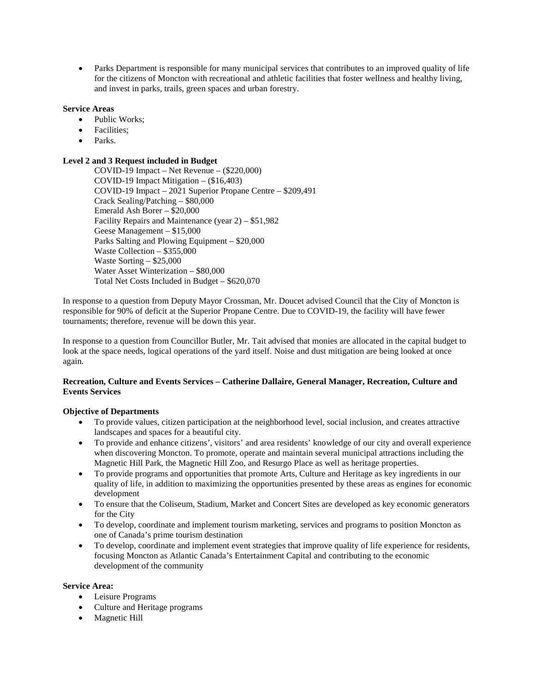• Parks Department is responsible for many municipal services that contributes to an improved quality of life for the citizens of Moncton with recreational and athletic facilities that foster wellness and healthy living, and invest in parks, trails, green spaces and urban forestry.

## **Service Areas**

- Public Works;
- Facilities;
- Parks.

## **Level 2 and 3 Request included in Budget**

COVID-19 Impact – Net Revenue – (\$220,000) COVID-19 Impact Mitigation – (\$16,403) COVID-19 Impact – 2021 Superior Propane Centre – \$209,491 Crack Sealing/Patching – \$80,000 Emerald Ash Borer –  $\overline{$}20,000$ Facility Repairs and Maintenance (year 2) – \$51,982 Geese Management – \$15,000 Parks Salting and Plowing Equipment – \$20,000 Waste Collection – \$355,000 Waste Sorting – \$25,000 Water Asset Winterization – \$80,000 Total Net Costs Included in Budget – \$620,070

In response to a question from Deputy Mayor Crossman, Mr. Doucet advised Council that the City of Moncton is responsible for 90% of deficit at the Superior Propane Centre. Due to COVID-19, the facility will have fewer tournaments; therefore, revenue will be down this year.

In response to a question from Councillor Butler, Mr. Tait advised that monies are allocated in the capital budget to look at the space needs, logical operations of the yard itself. Noise and dust mitigation are being looked at once again.

## **Recreation, Culture and Events Services – Catherine Dallaire, General Manager, Recreation, Culture and Events Services**

## **Objective of Departments**

- To provide values, citizen participation at the neighborhood level, social inclusion, and creates attractive landscapes and spaces for a beautiful city.
- To provide and enhance citizens', visitors' and area residents' knowledge of our city and overall experience when discovering Moncton. To promote, operate and maintain several municipal attractions including the Magnetic Hill Park, the Magnetic Hill Zoo, and Resurgo Place as well as heritage properties.
- To provide programs and opportunities that promote Arts, Culture and Heritage as key ingredients in our quality of life, in addition to maximizing the opportunities presented by these areas as engines for economic development
- To ensure that the Coliseum, Stadium, Market and Concert Sites are developed as key economic generators for the City
- To develop, coordinate and implement tourism marketing, services and programs to position Moncton as one of Canada's prime tourism destination
- To develop, coordinate and implement event strategies that improve quality of life experience for residents, focusing Moncton as Atlantic Canada's Entertainment Capital and contributing to the economic development of the community

## **Service Area:**

- Leisure Programs
- Culture and Heritage programs
- Magnetic Hill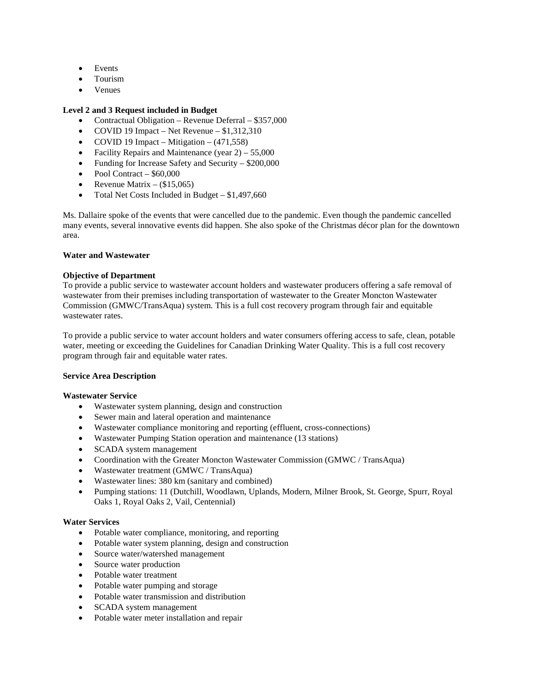- Events
- Tourism
- Venues

## **Level 2 and 3 Request included in Budget**

- Contractual Obligation Revenue Deferral \$357,000
- COVID 19 Impact Net Revenue \$1,312,310
- COVID 19 Impact Mitigation  $(471,558)$
- Facility Repairs and Maintenance (year  $2$ ) 55,000
- Funding for Increase Safety and Security \$200,000
- Pool Contract  $$60,000$
- Revenue Matrix  $-$  (\$15,065)
- Total Net Costs Included in Budget \$1,497,660

Ms. Dallaire spoke of the events that were cancelled due to the pandemic. Even though the pandemic cancelled many events, several innovative events did happen. She also spoke of the Christmas décor plan for the downtown area.

### **Water and Wastewater**

## **Objective of Department**

To provide a public service to wastewater account holders and wastewater producers offering a safe removal of wastewater from their premises including transportation of wastewater to the Greater Moncton Wastewater Commission (GMWC/TransAqua) system. This is a full cost recovery program through fair and equitable wastewater rates.

To provide a public service to water account holders and water consumers offering access to safe, clean, potable water, meeting or exceeding the Guidelines for Canadian Drinking Water Quality. This is a full cost recovery program through fair and equitable water rates.

## **Service Area Description**

## **Wastewater Service**

- Wastewater system planning, design and construction
- Sewer main and lateral operation and maintenance
- Wastewater compliance monitoring and reporting (effluent, cross-connections)
- Wastewater Pumping Station operation and maintenance (13 stations)
- SCADA system management
- Coordination with the Greater Moncton Wastewater Commission (GMWC / TransAqua)
- Wastewater treatment (GMWC / TransAqua)
- Wastewater lines: 380 km (sanitary and combined)
- Pumping stations: 11 (Dutchill, Woodlawn, Uplands, Modern, Milner Brook, St. George, Spurr, Royal Oaks 1, Royal Oaks 2, Vail, Centennial)

## **Water Services**

- Potable water compliance, monitoring, and reporting
- Potable water system planning, design and construction
- Source water/watershed management
- Source water production
- Potable water treatment
- Potable water pumping and storage
- Potable water transmission and distribution
- SCADA system management
- Potable water meter installation and repair